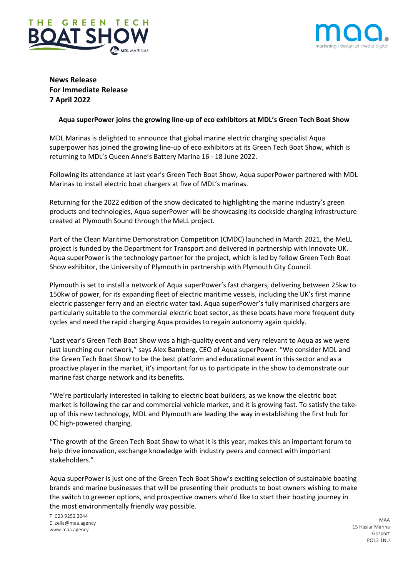



**News Release For Immediate Release 7 April 2022**

## **Aqua superPower joins the growing line-up of eco exhibitors at MDL's Green Tech Boat Show**

MDL Marinas is delighted to announce that global marine electric charging specialist Aqua superpower has joined the growing line-up of eco exhibitors at its Green Tech Boat Show, which is returning to MDL's Queen Anne's Battery Marina 16 - 18 June 2022.

Following its attendance at last year's Green Tech Boat Show, Aqua superPower partnered with MDL Marinas to install electric boat chargers at five of MDL's marinas.

Returning for the 2022 edition of the show dedicated to highlighting the marine industry's green products and technologies, Aqua superPower will be showcasing its dockside charging infrastructure created at Plymouth Sound through the MeLL project.

Part of the Clean Maritime Demonstration Competition (CMDC) launched in March 2021, the MeLL project is funded by the Department for Transport and delivered in partnership with Innovate UK. Aqua superPower is the technology partner for the project, which is led by fellow Green Tech Boat Show exhibitor, the University of Plymouth in partnership with Plymouth City Council.

Plymouth is set to install a network of Aqua superPower's fast chargers, delivering between 25kw to 150kw of power, for its expanding fleet of electric maritime vessels, including the UK's first marine electric passenger ferry and an electric water taxi. Aqua superPower's fully marinised chargers are particularly suitable to the commercial electric boat sector, as these boats have more frequent duty cycles and need the rapid charging Aqua provides to regain autonomy again quickly.

"Last year's Green Tech Boat Show was a high-quality event and very relevant to Aqua as we were just launching our network," says Alex Bamberg, CEO of Aqua superPower. "We consider MDL and the Green Tech Boat Show to be the best platform and educational event in this sector and as a proactive player in the market, it's important for us to participate in the show to demonstrate our marine fast charge network and its benefits.

"We're particularly interested in talking to electric boat builders, as we know the electric boat market is following the car and commercial vehicle market, and it is growing fast. To satisfy the takeup of this new technology, MDL and Plymouth are leading the way in establishing the first hub for DC high-powered charging.

"The growth of the Green Tech Boat Show to what it is this year, makes this an important forum to help drive innovation, exchange knowledge with industry peers and connect with important stakeholders."

Aqua superPower is just one of the Green Tech Boat Show's exciting selection of sustainable boating brands and marine businesses that will be presenting their products to boat owners wishing to make the switch to greener options, and prospective owners who'd like to start their boating journey in the most environmentally friendly way possible.

T: 023 9252 2044 E: zella@maa.agency www.maa.agency

MAA 15 Haslar Marina Gosport PO12 1NU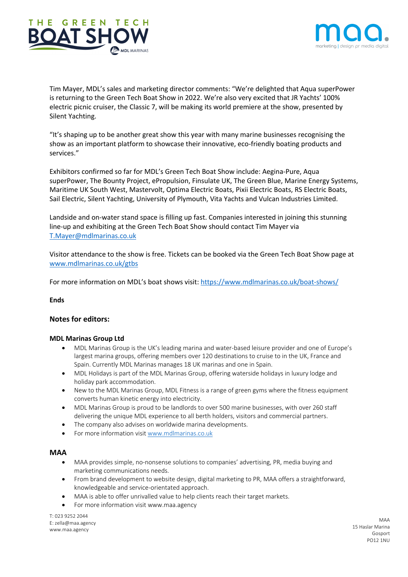



Tim Mayer, MDL's sales and marketing director comments: "We're delighted that Aqua superPower is returning to the Green Tech Boat Show in 2022. We're also very excited that JR Yachts' 100% electric picnic cruiser, the Classic 7, will be making its world premiere at the show, presented by Silent Yachting.

"It's shaping up to be another great show this year with many marine businesses recognising the show as an important platform to showcase their innovative, eco-friendly boating products and services."

Exhibitors confirmed so far for MDL's Green Tech Boat Show include: Aegina-Pure, Aqua superPower, The Bounty Project, ePropulsion, Finsulate UK, The Green Blue, Marine Energy Systems, Maritime UK South West, Mastervolt, Optima Electric Boats, Pixii Electric Boats, RS Electric Boats, Sail Electric, Silent Yachting, University of Plymouth, Vita Yachts and Vulcan Industries Limited.

Landside and on-water stand space is filling up fast. Companies interested in joining this stunning line-up and exhibiting at the Green Tech Boat Show should contact Tim Mayer via T.Mayer@mdlmarinas.co.uk

Visitor attendance to the show is free. Tickets can be booked via the Green Tech Boat Show page at www.mdlmarinas.co.uk/gtbs

For more information on MDL's boat shows visit: https://www.mdlmarinas.co.uk/boat-shows/

**Ends**

## **Notes for editors:**

## **MDL Marinas Group Ltd**

- MDL Marinas Group is the UK's leading marina and water-based leisure provider and one of Europe's largest marina groups, offering members over 120 destinations to cruise to in the UK, France and Spain. Currently MDL Marinas manages 18 UK marinas and one in Spain.
- MDL Holidays is part of the MDL Marinas Group, offering waterside holidays in luxury lodge and holiday park accommodation.
- New to the MDL Marinas Group, MDL Fitness is a range of green gyms where the fitness equipment converts human kinetic energy into electricity.
- MDL Marinas Group is proud to be landlords to over 500 marine businesses, with over 260 staff delivering the unique MDL experience to all berth holders, visitors and commercial partners.
- The company also advises on worldwide marina developments.
- For more information visit www.mdlmarinas.co.uk

## **MAA**

- MAA provides simple, no-nonsense solutions to companies' advertising, PR, media buying and marketing communications needs.
- From brand development to website design, digital marketing to PR, MAA offers a straightforward, knowledgeable and service-orientated approach.
- MAA is able to offer unrivalled value to help clients reach their target markets.
- For more information visit www.maa.agency

T: 023 9252 2044 E: zella@maa.agency www.maa.agency

MAA 15 Haslar Marina Gosport PO12 1NU